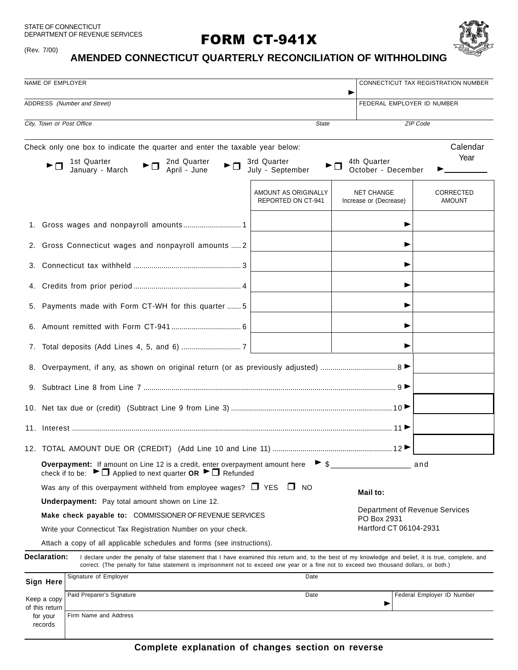STATE OF CONNECTICUT DEPARTMENT OF REVENUE SERVICES

(Rev. 7/00)

# **FORM CT-941X**



# **AMENDED CONNECTICUT QUARTERLY RECONCILIATION OF WITHHOLDING**

| NAME OF EMPLOYER                                          | CONNECTICUT TAX REGISTRATION NUMBER                                                                                                                                                                                                                                                                |                                            |                                             |                            |  |
|-----------------------------------------------------------|----------------------------------------------------------------------------------------------------------------------------------------------------------------------------------------------------------------------------------------------------------------------------------------------------|--------------------------------------------|---------------------------------------------|----------------------------|--|
| ADDRESS (Number and Street)<br>FEDERAL EMPLOYER ID NUMBER |                                                                                                                                                                                                                                                                                                    |                                            |                                             |                            |  |
| City, Town or Post Office<br><b>State</b>                 |                                                                                                                                                                                                                                                                                                    |                                            |                                             | ZIP Code                   |  |
|                                                           | Check only one box to indicate the quarter and enter the taxable year below:                                                                                                                                                                                                                       |                                            |                                             | Calendar                   |  |
|                                                           | 2nd Quarter                                                                                                                                                                                                                                                                                        | 3rd Quarter                                | 4th Quarter                                 | Year                       |  |
|                                                           | 1st Quarter<br>$\blacktriangleright$ $\Box$<br>January - March<br>April - June                                                                                                                                                                                                                     | July - September                           | October - December                          |                            |  |
|                                                           |                                                                                                                                                                                                                                                                                                    |                                            |                                             |                            |  |
|                                                           |                                                                                                                                                                                                                                                                                                    | AMOUNT AS ORIGINALLY<br>REPORTED ON CT-941 | <b>NET CHANGE</b><br>Increase or (Decrease) | CORRECTED<br>AMOUNT        |  |
|                                                           |                                                                                                                                                                                                                                                                                                    |                                            |                                             |                            |  |
|                                                           | 2. Gross Connecticut wages and nonpayroll amounts  2                                                                                                                                                                                                                                               |                                            |                                             |                            |  |
| 3.                                                        |                                                                                                                                                                                                                                                                                                    |                                            |                                             |                            |  |
|                                                           |                                                                                                                                                                                                                                                                                                    |                                            |                                             |                            |  |
|                                                           | 5. Payments made with Form CT-WH for this quarter  5                                                                                                                                                                                                                                               |                                            |                                             |                            |  |
|                                                           |                                                                                                                                                                                                                                                                                                    |                                            |                                             |                            |  |
|                                                           |                                                                                                                                                                                                                                                                                                    |                                            |                                             |                            |  |
|                                                           |                                                                                                                                                                                                                                                                                                    |                                            |                                             |                            |  |
|                                                           |                                                                                                                                                                                                                                                                                                    |                                            |                                             |                            |  |
|                                                           |                                                                                                                                                                                                                                                                                                    |                                            |                                             |                            |  |
|                                                           |                                                                                                                                                                                                                                                                                                    |                                            |                                             |                            |  |
|                                                           |                                                                                                                                                                                                                                                                                                    |                                            |                                             |                            |  |
|                                                           |                                                                                                                                                                                                                                                                                                    |                                            |                                             |                            |  |
|                                                           | Overpayment: If amount on Line 12 is a credit, enter overpayment amount here<br>check if to be: $\blacktriangleright \Box$ Applied to next quarter OR $\blacktriangleright \Box$ Refunded                                                                                                          | £.                                         |                                             | and                        |  |
|                                                           | Was any of this overpayment withheld from employee wages? $\Box$ YES $\Box$ NO                                                                                                                                                                                                                     |                                            | Mail to:                                    |                            |  |
|                                                           | <b>Underpayment:</b> Pay total amount shown on Line 12.                                                                                                                                                                                                                                            |                                            |                                             |                            |  |
|                                                           | Department of Revenue Services<br>Make check payable to: COMMISSIONER OF REVENUE SERVICES<br>PO Box 2931                                                                                                                                                                                           |                                            |                                             |                            |  |
|                                                           | Hartford CT 06104-2931<br>Write your Connecticut Tax Registration Number on your check.                                                                                                                                                                                                            |                                            |                                             |                            |  |
|                                                           | Attach a copy of all applicable schedules and forms (see instructions).                                                                                                                                                                                                                            |                                            |                                             |                            |  |
| Declaration:                                              | I declare under the penalty of false statement that I have examined this return and, to the best of my knowledge and belief, it is true, complete, and<br>correct. (The penalty for false statement is imprisonment not to exceed one year or a fine not to exceed two thousand dollars, or both.) |                                            |                                             |                            |  |
| <b>Sign Here</b>                                          | Signature of Employer                                                                                                                                                                                                                                                                              | Date                                       |                                             |                            |  |
| Keep a copy                                               | Paid Preparer's Signature                                                                                                                                                                                                                                                                          | Date                                       |                                             | Federal Employer ID Number |  |
| of this return<br>for your<br>records                     | Firm Name and Address                                                                                                                                                                                                                                                                              |                                            |                                             |                            |  |

**Complete explanation of changes section on reverse**